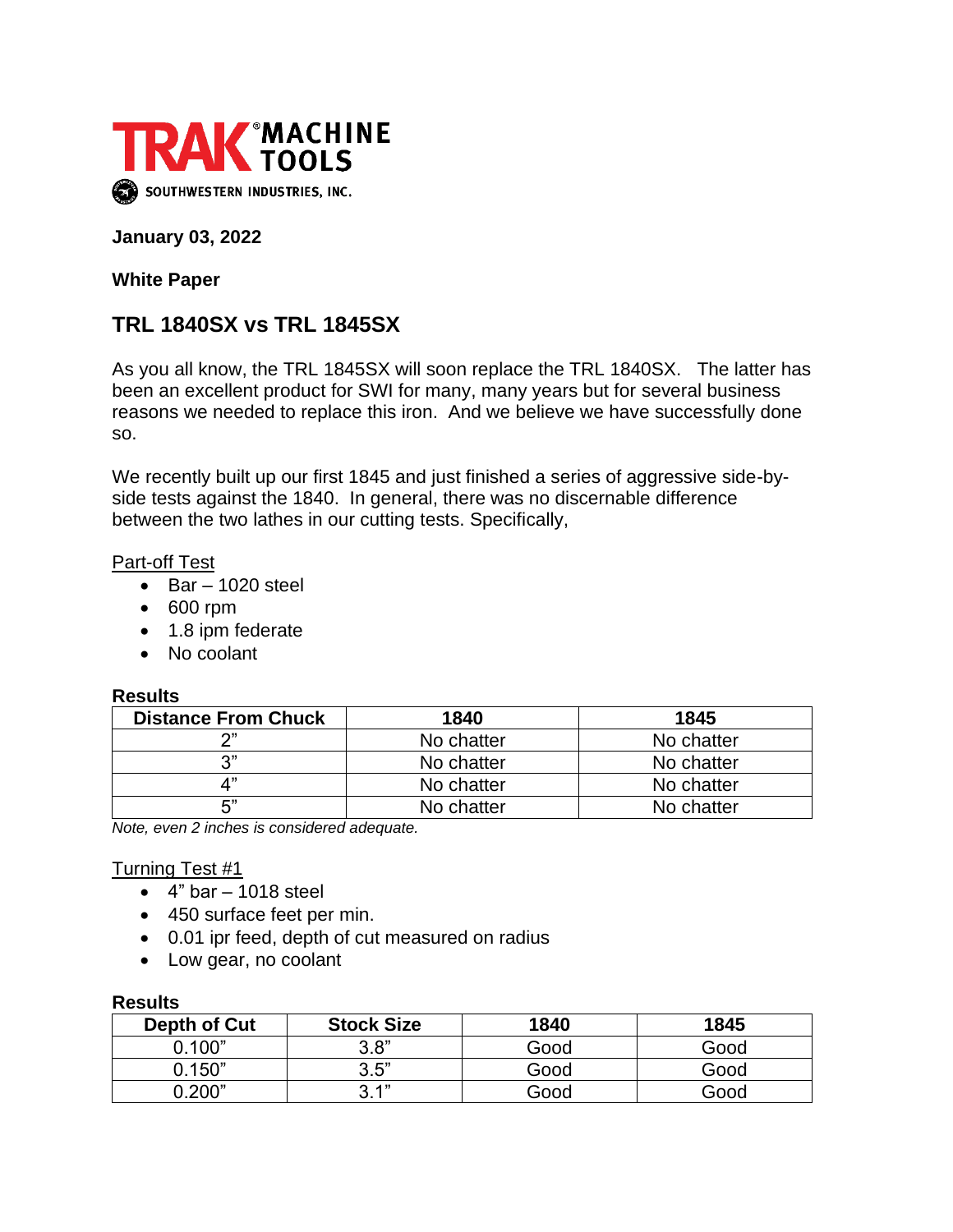

#### **January 03, 2022**

**White Paper**

# **TRL 1840SX vs TRL 1845SX**

As you all know, the TRL 1845SX will soon replace the TRL 1840SX. The latter has been an excellent product for SWI for many, many years but for several business reasons we needed to replace this iron. And we believe we have successfully done so.

We recently built up our first 1845 and just finished a series of aggressive side-byside tests against the 1840. In general, there was no discernable difference between the two lathes in our cutting tests. Specifically,

#### **Part-off Test**

- $\bullet$  Bar 1020 steel
- 600 rpm
- 1.8 ipm federate
- No coolant

# **Results**

| .                          |            |            |  |  |
|----------------------------|------------|------------|--|--|
| <b>Distance From Chuck</b> | 1840       | 1845       |  |  |
| າ"                         | No chatter | No chatter |  |  |
| 3"                         | No chatter | No chatter |  |  |
| ⊿"                         | No chatter | No chatter |  |  |
| 5"                         | No chatter | No chatter |  |  |

*Note, even 2 inches is considered adequate.*

# Turning Test #1

- $\bullet$  4" bar 1018 steel
- 450 surface feet per min.
- 0.01 ipr feed, depth of cut measured on radius
- Low gear, no coolant

#### **Results**

| Depth of Cut | <b>Stock Size</b> | 1840 | 1845 |  |
|--------------|-------------------|------|------|--|
| 0.100"       | 3.8"              | Good | Good |  |
| 0.150"       | 3.5"              | Good | Good |  |
|              | ′' 4              | Good | Good |  |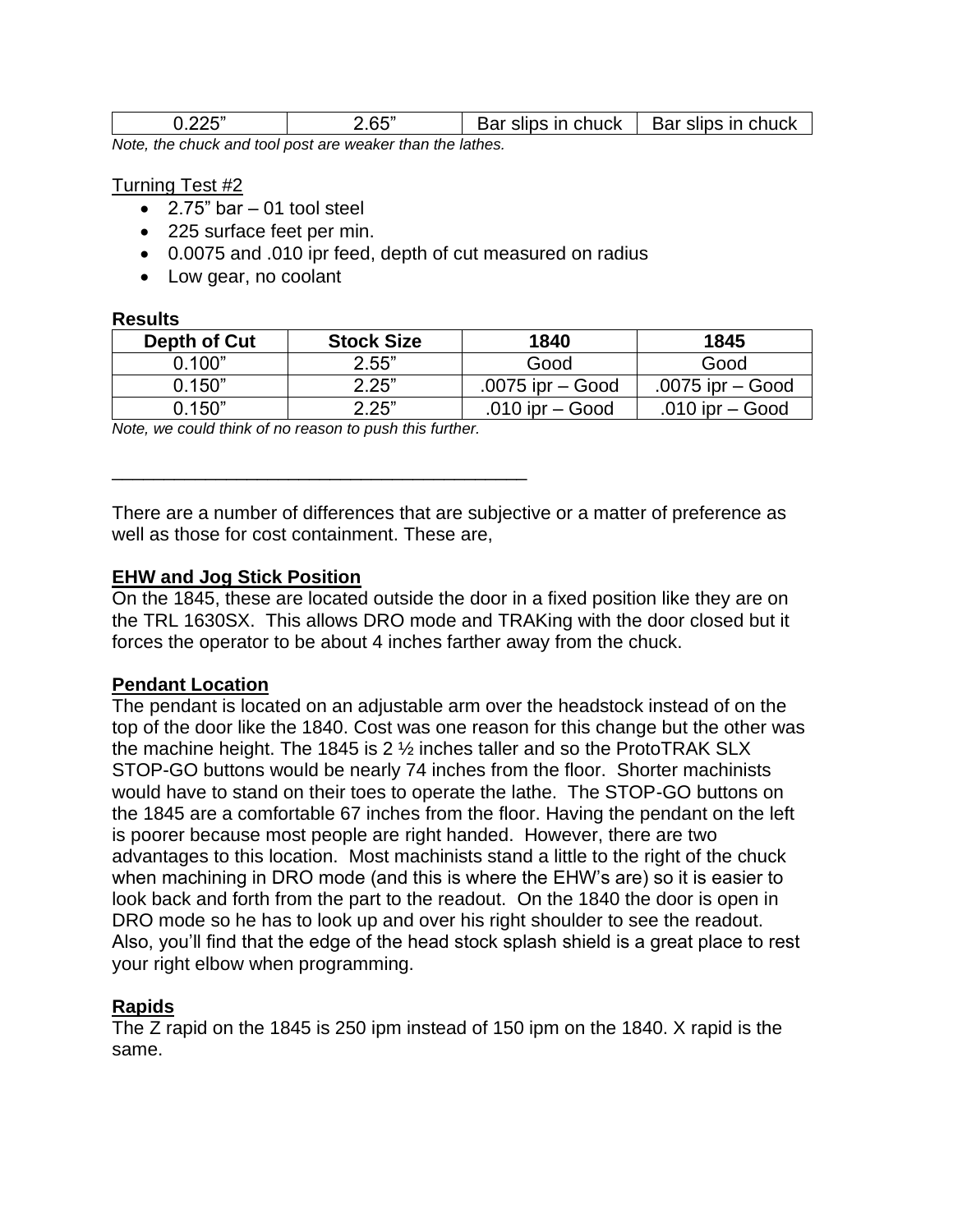|                                                            | 2.65" | Bar slips in chuck $\parallel$ Bar slips in chuck |  |  |  |
|------------------------------------------------------------|-------|---------------------------------------------------|--|--|--|
| blote, the church and teal need one weeken then the lather |       |                                                   |  |  |  |

*Note, the chuck and tool post are weaker than the lathes.*

#### Turning Test #2

- $\bullet$  2.75" bar 01 tool steel
- 225 surface feet per min.
- 0.0075 and .010 ipr feed, depth of cut measured on radius
- Low gear, no coolant

#### **Results**

| Depth of Cut  | <b>Stock Size</b> | 1840               | 1845               |
|---------------|-------------------|--------------------|--------------------|
| <u>በ 1በበ"</u> | 2.55"             | Good               | Good               |
| 0.150"        | 2.25"             | .0075 ipr $-$ Good | .0075 ipr $-$ Good |
| 0.150"        | 2.25"             | .010 ipr $-$ Good  | .010 ipr $-$ Good  |

*Note, we could think of no reason to push this further.*

\_\_\_\_\_\_\_\_\_\_\_\_\_\_\_\_\_\_\_\_\_\_\_\_\_\_\_\_\_\_\_\_\_\_\_\_\_\_\_\_

There are a number of differences that are subjective or a matter of preference as well as those for cost containment. These are,

# **EHW and Jog Stick Position**

On the 1845, these are located outside the door in a fixed position like they are on the TRL 1630SX. This allows DRO mode and TRAKing with the door closed but it forces the operator to be about 4 inches farther away from the chuck.

# **Pendant Location**

The pendant is located on an adjustable arm over the headstock instead of on the top of the door like the 1840. Cost was one reason for this change but the other was the machine height. The 1845 is 2 ½ inches taller and so the ProtoTRAK SLX STOP-GO buttons would be nearly 74 inches from the floor. Shorter machinists would have to stand on their toes to operate the lathe. The STOP-GO buttons on the 1845 are a comfortable 67 inches from the floor. Having the pendant on the left is poorer because most people are right handed. However, there are two advantages to this location. Most machinists stand a little to the right of the chuck when machining in DRO mode (and this is where the EHW's are) so it is easier to look back and forth from the part to the readout. On the 1840 the door is open in DRO mode so he has to look up and over his right shoulder to see the readout. Also, you'll find that the edge of the head stock splash shield is a great place to rest your right elbow when programming.

# **Rapids**

The Z rapid on the 1845 is 250 ipm instead of 150 ipm on the 1840. X rapid is the same.